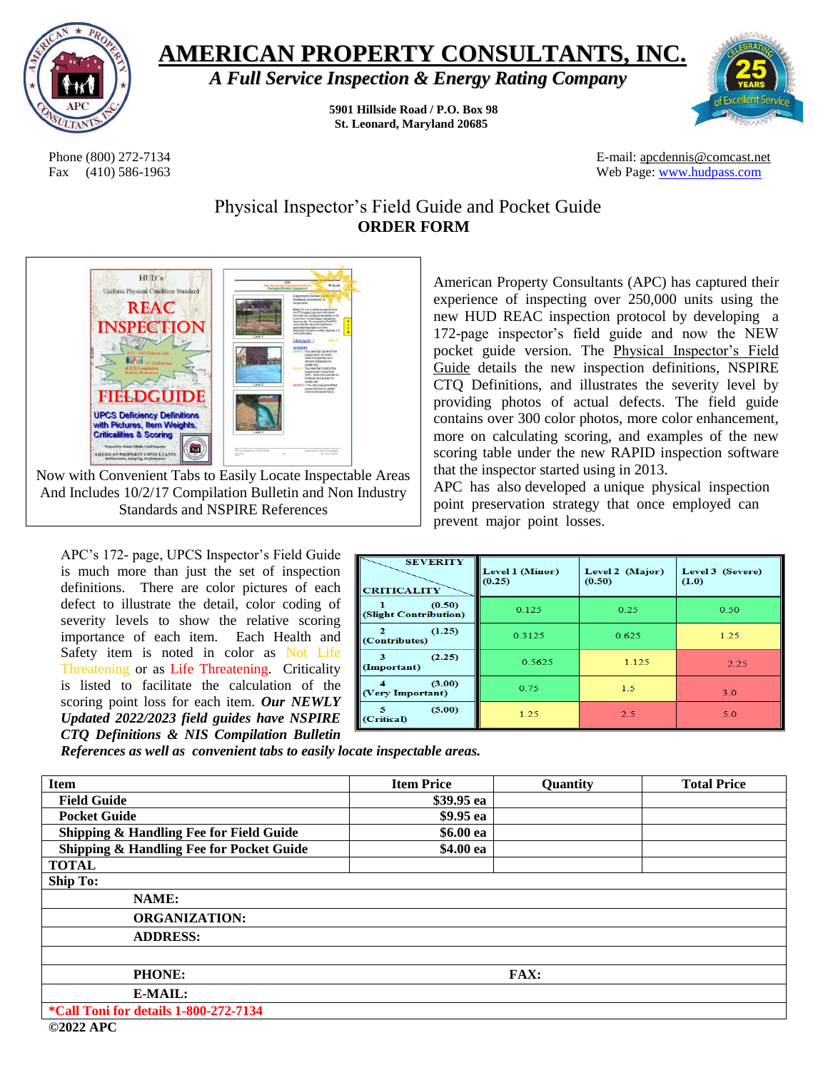

## **AMERICAN PROPERTY CONSULTANTS, INC.**

*A Full Service Inspection & Energy Rating Company*

**5901 Hillside Road / P.O. Box 98 St. Leonard, Maryland 20685**



Phone (800) 272-7134 **E-mail: apcdennis@comcast.net** Fax (410) 586-1963 Web Page: [www.hudpass.com](http://www.hudpass.com/)

> Physical Inspector's Field Guide and Pocket Guide **ORDER FORM**



Now with Convenient Tabs to Easily Locate Inspectable Areas And Includes 10/2/17 Compilation Bulletin and Non Industry Standards and NSPIRE References

APC's 172- page, UPCS Inspector's Field Guide is much more than just the set of inspection definitions. There are color pictures of each defect to illustrate the detail, color coding of severity levels to show the relative scoring importance of each item. Each Health and Safety item is noted in color as Not Life Threatening or as Life Threatening. Criticality is listed to facilitate the calculation of the scoring point loss for each item. *Our NEWLY Updated 2022/2023 field guides have NSPIRE CTQ Definitions & NIS Compilation Bulletin* 

American Property Consultants (APC) has captured their experience of inspecting over 250,000 units using the new HUD REAC inspection protocol by developing a 172-page inspector's field guide and now the NEW pocket guide version. The Physical Inspector's Field Guide details the new inspection definitions, NSPIRE CTQ Definitions, and illustrates the severity level by providing photos of actual defects. The field guide contains over 300 color photos, more color enhancement, more on calculating scoring, and examples of the new scoring table under the new RAPID inspection software that the inspector started using in 2013.

APC has also developed a unique physical inspection point preservation strategy that once employed can prevent major point losses.

| <b>SEVERITY</b><br><b>CRITICALITY</b> | Level 1 (Minor)<br>(0.25) | Level 2 (Major)<br>(0.50) | Level 3 (Severe)<br>(1.0) |
|---------------------------------------|---------------------------|---------------------------|---------------------------|
| (0.50)<br>(Slight Contribution)       | 0.125                     | 0.25                      | 0.50                      |
| (1.25)<br>(Contributes)               | 0.3125                    | 0.625                     | 1.25                      |
| (2.25)<br>з<br>(Important)            | 0.5625                    | 1.125                     | 2.25                      |
| (3.00)<br>(Very Important)            | 0.75                      | 1.5                       | 3.0                       |
| (5.00)<br>5<br>(Critical)             | 1.25                      | 2.5                       | 5.0                       |

*References as well as convenient tabs to easily locate inspectable areas.* 

| <b>Item</b>                              | <b>Item Price</b> | Quantity | <b>Total Price</b> |
|------------------------------------------|-------------------|----------|--------------------|
| <b>Field Guide</b>                       | \$39.95 ea        |          |                    |
| <b>Pocket Guide</b>                      | \$9.95 ea         |          |                    |
| Shipping & Handling Fee for Field Guide  | \$6.00 ea         |          |                    |
| Shipping & Handling Fee for Pocket Guide | \$4.00 ea         |          |                    |
| <b>TOTAL</b>                             |                   |          |                    |
| <b>Ship To:</b>                          |                   |          |                    |
| NAME:                                    |                   |          |                    |
| <b>ORGANIZATION:</b>                     |                   |          |                    |
| <b>ADDRESS:</b>                          |                   |          |                    |
|                                          |                   |          |                    |
| <b>PHONE:</b>                            | <b>FAX:</b>       |          |                    |
| E-MAIL:                                  |                   |          |                    |
| *Call Toni for details 1-800-272-7134    |                   |          |                    |

**©2022 APC**